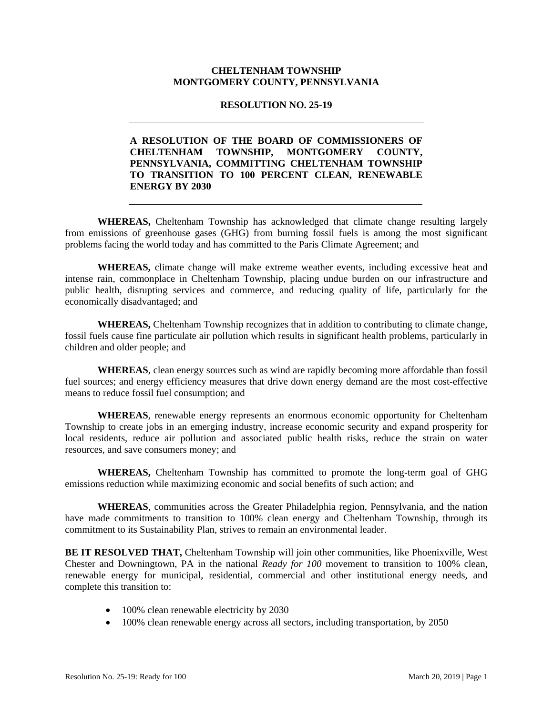## **CHELTENHAM TOWNSHIP MONTGOMERY COUNTY, PENNSYLVANIA**

## **RESOLUTION NO. 25-19**

## **A RESOLUTION OF THE BOARD OF COMMISSIONERS OF CHELTENHAM TOWNSHIP, MONTGOMERY COUNTY, PENNSYLVANIA, COMMITTING CHELTENHAM TOWNSHIP TO TRANSITION TO 100 PERCENT CLEAN, RENEWABLE ENERGY BY 2030**

 **WHEREAS,** Cheltenham Township has acknowledged that climate change resulting largely from emissions of greenhouse gases (GHG) from burning fossil fuels is among the most significant problems facing the world today and has committed to the Paris Climate Agreement; and

 **WHEREAS,** climate change will make extreme weather events, including excessive heat and intense rain, commonplace in Cheltenham Township, placing undue burden on our infrastructure and public health, disrupting services and commerce, and reducing quality of life, particularly for the economically disadvantaged; and

 **WHEREAS,** Cheltenham Township recognizes that in addition to contributing to climate change, fossil fuels cause fine particulate air pollution which results in significant health problems, particularly in children and older people; and

**WHEREAS**, clean energy sources such as wind are rapidly becoming more affordable than fossil fuel sources; and energy efficiency measures that drive down energy demand are the most cost-effective means to reduce fossil fuel consumption; and

**WHEREAS**, renewable energy represents an enormous economic opportunity for Cheltenham Township to create jobs in an emerging industry, increase economic security and expand prosperity for local residents, reduce air pollution and associated public health risks, reduce the strain on water resources, and save consumers money; and

 **WHEREAS,** Cheltenham Township has committed to promote the long-term goal of GHG emissions reduction while maximizing economic and social benefits of such action; and

**WHEREAS**, communities across the Greater Philadelphia region, Pennsylvania, and the nation have made commitments to transition to 100% clean energy and Cheltenham Township, through its commitment to its Sustainability Plan, strives to remain an environmental leader.

**BE IT RESOLVED THAT,** Cheltenham Township will join other communities, like Phoenixville, West Chester and Downingtown, PA in the national *Ready for 100* movement to transition to 100% clean, renewable energy for municipal, residential, commercial and other institutional energy needs, and complete this transition to:

- 100% clean renewable electricity by 2030
- 100% clean renewable energy across all sectors, including transportation, by 2050